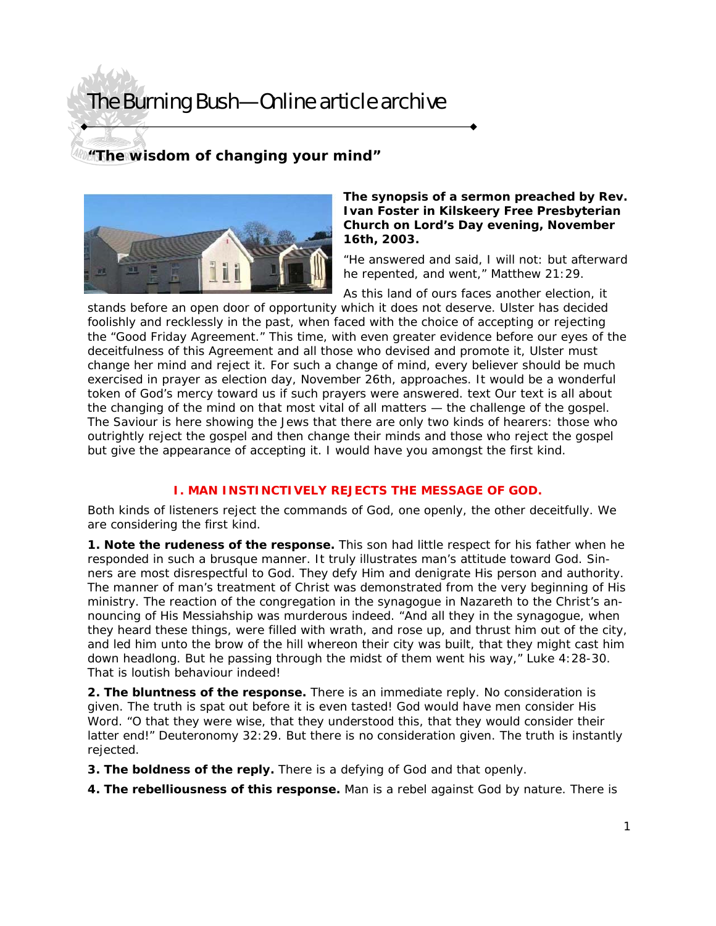# The Burning Bush—Online article archive

### **"The wisdom of changing your mind"**



#### *The synopsis of a sermon preached by Rev. Ivan Foster in Kilskeery Free Presbyterian Church on Lord's Day evening, November 16th, 2003.*

"He answered and said, I will not: but afterward he repented, and went," Matthew 21:29.

As this land of ours faces another election, it stands before an open door of opportunity which it does not deserve. Ulster has decided foolishly and recklessly in the past, when faced with the choice of accepting or rejecting the "Good Friday Agreement." This time, with even greater evidence before our eyes of the deceitfulness of this Agreement and all those who devised and promote it, Ulster must change her mind and reject it. For such a change of mind, every believer should be much exercised in prayer as election day, November 26th, approaches. It would be a wonderful token of God's mercy toward us if such prayers were answered. text Our text is all about the changing of the mind on that most vital of all matters — the challenge of the gospel. The Saviour is here showing the Jews that there are only two kinds of hearers: those who outrightly reject the gospel and then change their minds and those who reject the gospel but give the appearance of accepting it. I would have you amongst the first kind.

### **I. MAN INSTINCTIVELY REJECTS THE MESSAGE OF GOD.**

Both kinds of listeners reject the commands of God, one openly, the other deceitfully. We are considering the first kind.

**1. Note the rudeness of the response.** This son had little respect for his father when he responded in such a brusque manner. It truly illustrates man's attitude toward God. Sinners are most disrespectful to God. They defy Him and denigrate His person and authority. The manner of man's treatment of Christ was demonstrated from the very beginning of His ministry. The reaction of the congregation in the synagogue in Nazareth to the Christ's announcing of His Messiahship was murderous indeed. "And all they in the synagogue, when they heard these things, were filled with wrath, and rose up, and thrust him out of the city, and led him unto the brow of the hill whereon their city was built, that they might cast him down headlong. But he passing through the midst of them went his way," Luke 4:28-30. That is loutish behaviour indeed!

**2. The bluntness of the response.** There is an immediate reply. No consideration is given. The truth is spat out before it is even tasted! God would have men consider His Word. "O that they were wise, that they understood this, that they would consider their latter end!" Deuteronomy 32:29. But there is no consideration given. The truth is instantly rejected.

- **3. The boldness of the reply.** There is a defying of God and that openly.
- **4. The rebelliousness of this response.** Man is a rebel against God by nature. There is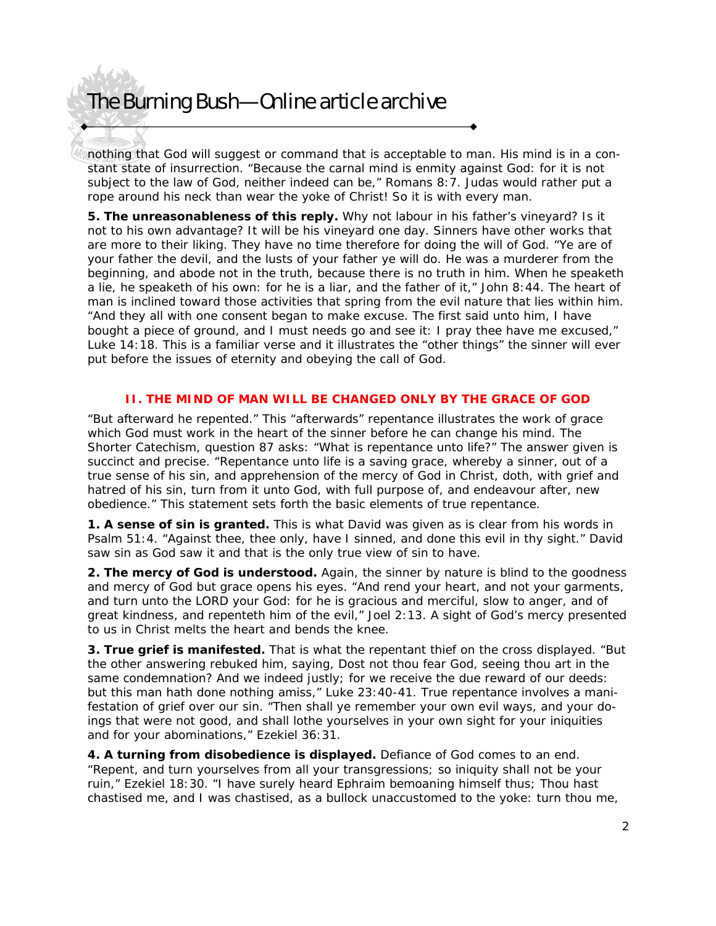# The Burning Bush—Online article archive

nothing that God will suggest or command that is acceptable to man. His mind is in a constant state of insurrection. "Because the carnal mind is enmity against God: for it is not subject to the law of God, neither indeed can be," Romans 8:7. Judas would rather put a rope around his neck than wear the yoke of Christ! So it is with every man.

**5. The unreasonableness of this reply.** Why not labour in his father's vineyard? Is it not to his own advantage? It will be his vineyard one day. Sinners have other works that are more to their liking. They have no time therefore for doing the will of God. "Ye are of your father the devil, and the lusts of your father ye will do. He was a murderer from the beginning, and abode not in the truth, because there is no truth in him. When he speaketh a lie, he speaketh of his own: for he is a liar, and the father of it," John 8:44. The heart of man is inclined toward those activities that spring from the evil nature that lies within him. "And they all with one consent began to make excuse. The first said unto him, I have bought a piece of ground, and I must needs go and see it: I pray thee have me excused," Luke 14:18. This is a familiar verse and it illustrates the "other things" the sinner will ever put before the issues of eternity and obeying the call of God.

### **II. THE MIND OF MAN WILL BE CHANGED ONLY BY THE GRACE OF GOD**

"But afterward he repented." This "afterwards" repentance illustrates the work of grace which God must work in the heart of the sinner before he can change his mind. The Shorter Catechism, question 87 asks: "What is repentance unto life?" The answer given is succinct and precise. "Repentance unto life is a saving grace, whereby a sinner, out of a true sense of his sin, and apprehension of the mercy of God in Christ, doth, with grief and hatred of his sin, turn from it unto God, with full purpose of, and endeavour after, new obedience." This statement sets forth the basic elements of true repentance.

**1. A sense of sin is granted.** This is what David was given as is clear from his words in Psalm 51:4. "Against thee, thee only, have I sinned, and done this evil in thy sight." David saw sin as God saw it and that is the only true view of sin to have.

**2. The mercy of God is understood.** Again, the sinner by nature is blind to the goodness and mercy of God but grace opens his eyes. "And rend your heart, and not your garments, and turn unto the LORD your God: for he is gracious and merciful, slow to anger, and of great kindness, and repenteth him of the evil," Joel 2:13. A sight of God's mercy presented to us in Christ melts the heart and bends the knee.

**3. True grief is manifested.** That is what the repentant thief on the cross displayed. "But the other answering rebuked him, saying, Dost not thou fear God, seeing thou art in the same condemnation? And we indeed justly; for we receive the due reward of our deeds: but this man hath done nothing amiss," Luke 23:40-41. True repentance involves a manifestation of grief over our sin. "Then shall ye remember your own evil ways, and your doings that were not good, and shall lothe yourselves in your own sight for your iniquities and for your abominations," Ezekiel 36:31.

**4. A turning from disobedience is displayed.** Defiance of God comes to an end. "Repent, and turn yourselves from all your transgressions; so iniquity shall not be your ruin," Ezekiel 18:30. "I have surely heard Ephraim bemoaning himself thus; Thou hast chastised me, and I was chastised, as a bullock unaccustomed to the yoke: turn thou me,